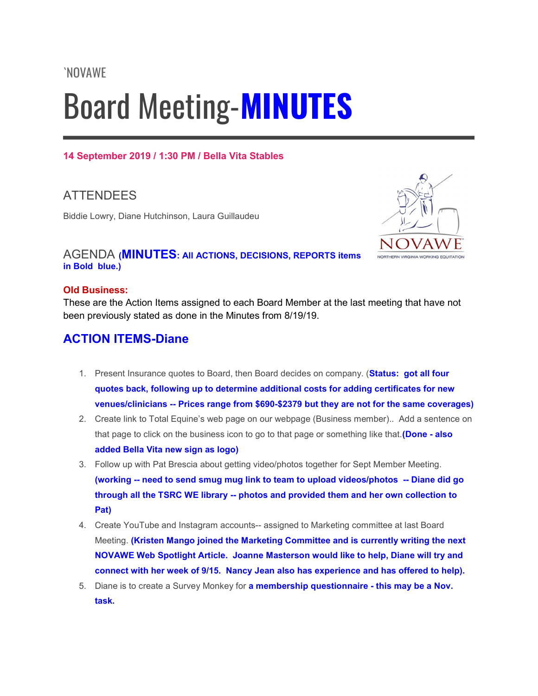# Board Meeting-MINUTES

## 14 September 2019 / 1:30 PM / Bella Vita Stables

# ATTENDEES

Biddie Lowry, Diane Hutchinson, Laura Guillaudeu



## AGENDA (MINUTES: All ACTIONS, DECISIONS, REPORTS items in Bold blue.)

### Old Business:

These are the Action Items assigned to each Board Member at the last meeting that have not been previously stated as done in the Minutes from 8/19/19.

## ACTION ITEMS-Diane

- 1. Present Insurance quotes to Board, then Board decides on company. (**Status: got all four** quotes back, following up to determine additional costs for adding certificates for new venues/clinicians -- Prices range from \$690-\$2379 but they are not for the same coverages)
- 2. Create link to Total Equine's web page on our webpage (Business member).. Add a sentence on that page to click on the business icon to go to that page or something like that. (Done - also added Bella Vita new sign as logo)
- 3. Follow up with Pat Brescia about getting video/photos together for Sept Member Meeting. (working -- need to send smug mug link to team to upload videos/photos -- Diane did go through all the TSRC WE library -- photos and provided them and her own collection to Pat)
- 4. Create YouTube and Instagram accounts-- assigned to Marketing committee at last Board Meeting. (Kristen Mango joined the Marketing Committee and is currently writing the next NOVAWE Web Spotlight Article. Joanne Masterson would like to help, Diane will try and connect with her week of 9/15. Nancy Jean also has experience and has offered to help).
- 5. Diane is to create a Survey Monkey for **a membership questionnaire this may be a Nov.** task.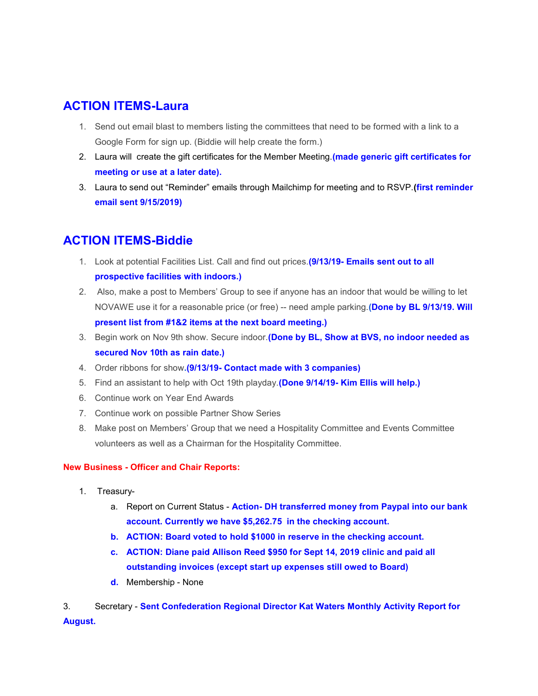## ACTION ITEMS-Laura

- 1. Send out email blast to members listing the committees that need to be formed with a link to a Google Form for sign up. (Biddie will help create the form.)
- 2. Laura will create the gift certificates for the Member Meeting. (made generic gift certificates for meeting or use at a later date).
- 3. Laura to send out "Reminder" emails through Mailchimp for meeting and to RSVP. (first reminder email sent 9/15/2019)

## ACTION ITEMS-Biddie

- 1. Look at potential Facilities List. Call and find out prices. (9/13/19- Emails sent out to all prospective facilities with indoors.)
- 2. Also, make a post to Members' Group to see if anyone has an indoor that would be willing to let NOVAWE use it for a reasonable price (or free) -- need ample parking. (Done by BL 9/13/19. Will present list from #1&2 items at the next board meeting.)
- 3. Begin work on Nov 9th show. Secure indoor. (Done by BL, Show at BVS, no indoor needed as secured Nov 10th as rain date.)
- 4. Order ribbons for show. (9/13/19- Contact made with 3 companies)
- 5. Find an assistant to help with Oct 19th playday. (Done 9/14/19- Kim Ellis will help.)
- 6. Continue work on Year End Awards
- 7. Continue work on possible Partner Show Series
- 8. Make post on Members' Group that we need a Hospitality Committee and Events Committee volunteers as well as a Chairman for the Hospitality Committee.

#### New Business - Officer and Chair Reports:

- 1. Treasury
	- a. Report on Current Status Action- DH transferred money from Paypal into our bank account. Currently we have \$5,262.75 in the checking account.
	- b. ACTION: Board voted to hold \$1000 in reserve in the checking account.
	- c. ACTION: Diane paid Allison Reed \$950 for Sept 14, 2019 clinic and paid all outstanding invoices (except start up expenses still owed to Board)
	- d. Membership None
- 3. Secretary Sent Confederation Regional Director Kat Waters Monthly Activity Report for August.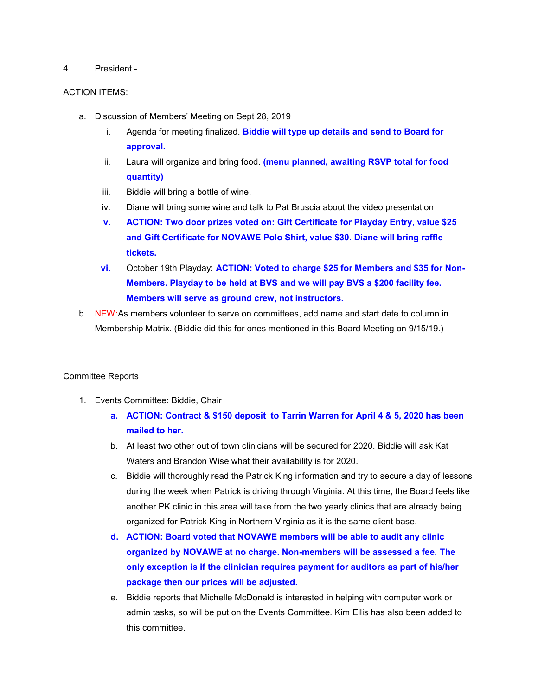#### 4. President -

#### ACTION ITEMS:

- a. Discussion of Members' Meeting on Sept 28, 2019
	- i. Agenda for meeting finalized. Biddie will type up details and send to Board for approval.
	- ii. Laura will organize and bring food. (menu planned, awaiting RSVP total for food quantity)
	- iii. Biddie will bring a bottle of wine.
	- iv. Diane will bring some wine and talk to Pat Bruscia about the video presentation
	- v. ACTION: Two door prizes voted on: Gift Certificate for Playday Entry, value \$25 and Gift Certificate for NOVAWE Polo Shirt, value \$30. Diane will bring raffle tickets.
	- vi. October 19th Playday: ACTION: Voted to charge \$25 for Members and \$35 for Non-Members. Playday to be held at BVS and we will pay BVS a \$200 facility fee. Members will serve as ground crew, not instructors.
- b. NEW:As members volunteer to serve on committees, add name and start date to column in Membership Matrix. (Biddie did this for ones mentioned in this Board Meeting on 9/15/19.)

#### Committee Reports

- 1. Events Committee: Biddie, Chair
	- a. ACTION: Contract & \$150 deposit to Tarrin Warren for April 4 & 5, 2020 has been mailed to her.
	- b. At least two other out of town clinicians will be secured for 2020. Biddie will ask Kat Waters and Brandon Wise what their availability is for 2020.
	- c. Biddie will thoroughly read the Patrick King information and try to secure a day of lessons during the week when Patrick is driving through Virginia. At this time, the Board feels like another PK clinic in this area will take from the two yearly clinics that are already being organized for Patrick King in Northern Virginia as it is the same client base.
	- d. ACTION: Board voted that NOVAWE members will be able to audit any clinic organized by NOVAWE at no charge. Non-members will be assessed a fee. The only exception is if the clinician requires payment for auditors as part of his/her package then our prices will be adjusted.
	- e. Biddie reports that Michelle McDonald is interested in helping with computer work or admin tasks, so will be put on the Events Committee. Kim Ellis has also been added to this committee.